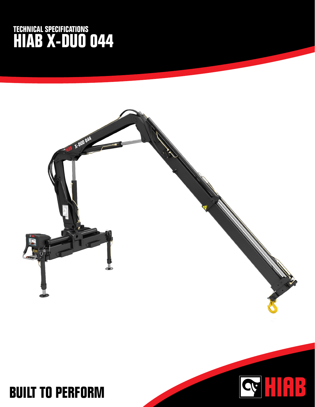## **TECHNICAL SPECIFICATIONS HIAB X-DUO 044**